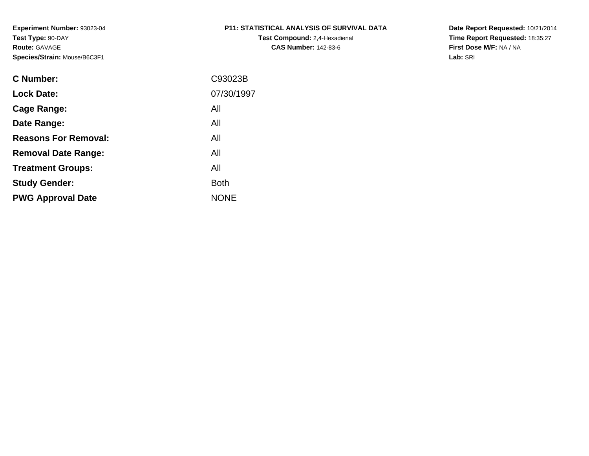# **P11: STATISTICAL ANALYSIS OF SURVIVAL DATA**

**Test Compound:** 2,4-Hexadienal **CAS Number:** 142-83-6

**Date Report Requested:** 10/21/2014 **Time Report Requested:** 18:35:27**First Dose M/F:** NA / NA**Lab:** SRI

| C Number:                   | C93023B     |
|-----------------------------|-------------|
| <b>Lock Date:</b>           | 07/30/1997  |
| Cage Range:                 | All         |
| Date Range:                 | All         |
| <b>Reasons For Removal:</b> | All         |
| <b>Removal Date Range:</b>  | All         |
| <b>Treatment Groups:</b>    | All         |
| <b>Study Gender:</b>        | <b>Both</b> |
| <b>PWG Approval Date</b>    | <b>NONE</b> |
|                             |             |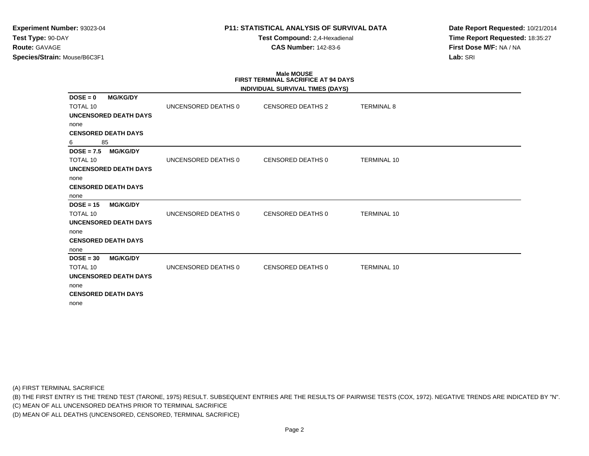**Test Compound:** 2,4-Hexadienal **CAS Number:** 142-83-6

**Date Report Requested:** 10/21/2014**Time Report Requested:** 18:35:27**First Dose M/F:** NA / NA**Lab:** SRI

# **Male MOUSE FIRST TERMINAL SACRIFICE AT 94 DAYS**

|                                 |                     | INDIVIDUAL SURVIVAL TIMES (DAYS) |                    |
|---------------------------------|---------------------|----------------------------------|--------------------|
| $DOSE = 0$<br><b>MG/KG/DY</b>   |                     |                                  |                    |
| <b>TOTAL 10</b>                 | UNCENSORED DEATHS 0 | <b>CENSORED DEATHS 2</b>         | <b>TERMINAL 8</b>  |
| <b>UNCENSORED DEATH DAYS</b>    |                     |                                  |                    |
| none                            |                     |                                  |                    |
| <b>CENSORED DEATH DAYS</b>      |                     |                                  |                    |
| 85<br>6                         |                     |                                  |                    |
| <b>MG/KG/DY</b><br>$DOSE = 7.5$ |                     |                                  |                    |
| <b>TOTAL 10</b>                 | UNCENSORED DEATHS 0 | CENSORED DEATHS 0                | <b>TERMINAL 10</b> |
| <b>UNCENSORED DEATH DAYS</b>    |                     |                                  |                    |
| none                            |                     |                                  |                    |
| <b>CENSORED DEATH DAYS</b>      |                     |                                  |                    |
| none                            |                     |                                  |                    |
| $DOSE = 15$<br><b>MG/KG/DY</b>  |                     |                                  |                    |
| <b>TOTAL 10</b>                 | UNCENSORED DEATHS 0 | CENSORED DEATHS 0                | <b>TERMINAL 10</b> |
| <b>UNCENSORED DEATH DAYS</b>    |                     |                                  |                    |
| none                            |                     |                                  |                    |
| <b>CENSORED DEATH DAYS</b>      |                     |                                  |                    |
| none                            |                     |                                  |                    |
| $DOSE = 30$<br><b>MG/KG/DY</b>  |                     |                                  |                    |
| <b>TOTAL 10</b>                 | UNCENSORED DEATHS 0 | CENSORED DEATHS 0                | <b>TERMINAL 10</b> |
| <b>UNCENSORED DEATH DAYS</b>    |                     |                                  |                    |
| none                            |                     |                                  |                    |
| <b>CENSORED DEATH DAYS</b>      |                     |                                  |                    |
| none                            |                     |                                  |                    |

(A) FIRST TERMINAL SACRIFICE

(B) THE FIRST ENTRY IS THE TREND TEST (TARONE, 1975) RESULT. SUBSEQUENT ENTRIES ARE THE RESULTS OF PAIRWISE TESTS (COX, 1972). NEGATIVE TRENDS ARE INDICATED BY "N".

(C) MEAN OF ALL UNCENSORED DEATHS PRIOR TO TERMINAL SACRIFICE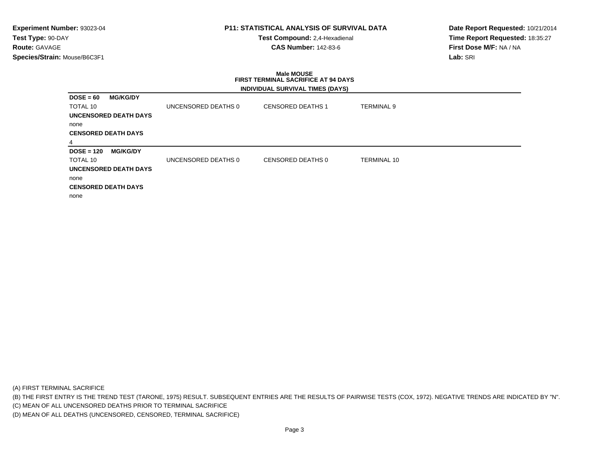# **P11: STATISTICAL ANALYSIS OF SURVIVAL DATA**

**Test Compound:** 2,4-Hexadienal **CAS Number:** 142-83-6

**Date Report Requested:** 10/21/2014**Time Report Requested:** 18:35:27**First Dose M/F:** NA / NA**Lab:** SRI

# **Male MOUSE FIRST TERMINAL SACRIFICE AT 94 DAYSINDIVIDUAL SURVIVAL TIMES (DAYS)**

| $DOSE = 60$     | <b>MG/KG/DY</b>              |                     |                          |                    |
|-----------------|------------------------------|---------------------|--------------------------|--------------------|
| <b>TOTAL 10</b> |                              | UNCENSORED DEATHS 0 | <b>CENSORED DEATHS 1</b> | <b>TERMINAL 9</b>  |
|                 | <b>UNCENSORED DEATH DAYS</b> |                     |                          |                    |
| none            |                              |                     |                          |                    |
|                 | <b>CENSORED DEATH DAYS</b>   |                     |                          |                    |
| 4               |                              |                     |                          |                    |
| $DOSE = 120$    | <b>MG/KG/DY</b>              |                     |                          |                    |
| <b>TOTAL 10</b> |                              | UNCENSORED DEATHS 0 | CENSORED DEATHS 0        | <b>TERMINAL 10</b> |
|                 | <b>UNCENSORED DEATH DAYS</b> |                     |                          |                    |
| none            |                              |                     |                          |                    |
|                 | <b>CENSORED DEATH DAYS</b>   |                     |                          |                    |
| none            |                              |                     |                          |                    |

(A) FIRST TERMINAL SACRIFICE

(B) THE FIRST ENTRY IS THE TREND TEST (TARONE, 1975) RESULT. SUBSEQUENT ENTRIES ARE THE RESULTS OF PAIRWISE TESTS (COX, 1972). NEGATIVE TRENDS ARE INDICATED BY "N".

(C) MEAN OF ALL UNCENSORED DEATHS PRIOR TO TERMINAL SACRIFICE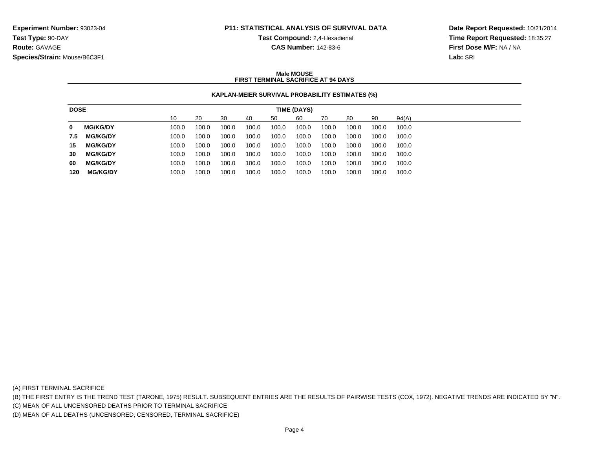**Test Compound:** 2,4-Hexadienal

**CAS Number:** 142-83-6

**Date Report Requested:** 10/21/2014**Time Report Requested:** 18:35:27**First Dose M/F:** NA / NA**Lab:** SRI

### **Male MOUSEFIRST TERMINAL SACRIFICE AT 94 DAYS**

## **KAPLAN-MEIER SURVIVAL PROBABILITY ESTIMATES (%)**

| <b>DOSE</b> |                 |       |       |       |       |       | TIME (DAYS) |       |       |       |       |
|-------------|-----------------|-------|-------|-------|-------|-------|-------------|-------|-------|-------|-------|
|             |                 | 10    | 20    | 30    | 40    | 50    | 60          | 70    | 80    | 90    | 94(A) |
| 0           | <b>MG/KG/DY</b> | 100.0 | 100.0 | 100.0 | 100.0 | 100.0 | 100.0       | 100.0 | 100.0 | 100.0 | 100.0 |
| 7.5         | <b>MG/KG/DY</b> | 100.0 | 100.0 | 100.0 | 100.0 | 100.0 | 100.0       | 100.0 | 100.0 | 100.0 | 100.0 |
| 15          | <b>MG/KG/DY</b> | 100.0 | 100.0 | 100.0 | 100.0 | 100.0 | 100.0       | 100.0 | 100.0 | 100.0 | 100.0 |
| 30          | <b>MG/KG/DY</b> | 100.0 | 100.0 | 100.0 | 100.0 | 100.0 | 100.0       | 100.0 | 100.0 | 100.0 | 100.0 |
| 60          | <b>MG/KG/DY</b> | 100.0 | 100.0 | 100.0 | 100.0 | 100.0 | 100.0       | 100.0 | 100.0 | 100.0 | 100.0 |
| 120         | <b>MG/KG/DY</b> | 100.0 | 100.0 | 100.0 | 100.0 | 100.0 | 100.0       | 100.0 | 100.0 | 100.0 | 100.0 |

(A) FIRST TERMINAL SACRIFICE

(B) THE FIRST ENTRY IS THE TREND TEST (TARONE, 1975) RESULT. SUBSEQUENT ENTRIES ARE THE RESULTS OF PAIRWISE TESTS (COX, 1972). NEGATIVE TRENDS ARE INDICATED BY "N".

(C) MEAN OF ALL UNCENSORED DEATHS PRIOR TO TERMINAL SACRIFICE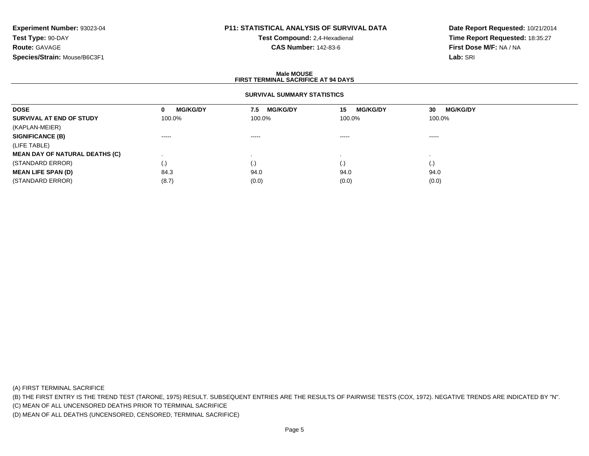# **P11: STATISTICAL ANALYSIS OF SURVIVAL DATA**

**Test Compound:** 2,4-Hexadienal **CAS Number:** 142-83-6

**Date Report Requested:** 10/21/2014**Time Report Requested:** 18:35:27**First Dose M/F:** NA / NA**Lab:** SRI

#### **Male MOUSEFIRST TERMINAL SACRIFICE AT 94 DAYS**

# **SURVIVAL SUMMARY STATISTICS**

| <b>DOSE</b>                           | <b>MG/KG/DY</b><br>0                                                                                                                                                                                                                                                                                                                                                                                                                                                                   | <b>MG/KG/DY</b><br>7.5 | <b>MG/KG/DY</b><br>15                                                                                                                                                                                                                                                                                                                                                                                                                                                                  | <b>MG/KG/DY</b><br>30                                                                                                                                                                                                                                                                                                                                                                                                                                                                  |
|---------------------------------------|----------------------------------------------------------------------------------------------------------------------------------------------------------------------------------------------------------------------------------------------------------------------------------------------------------------------------------------------------------------------------------------------------------------------------------------------------------------------------------------|------------------------|----------------------------------------------------------------------------------------------------------------------------------------------------------------------------------------------------------------------------------------------------------------------------------------------------------------------------------------------------------------------------------------------------------------------------------------------------------------------------------------|----------------------------------------------------------------------------------------------------------------------------------------------------------------------------------------------------------------------------------------------------------------------------------------------------------------------------------------------------------------------------------------------------------------------------------------------------------------------------------------|
| SURVIVAL AT END OF STUDY              | 100.0%                                                                                                                                                                                                                                                                                                                                                                                                                                                                                 | 100.0%                 | 100.0%                                                                                                                                                                                                                                                                                                                                                                                                                                                                                 | 100.0%                                                                                                                                                                                                                                                                                                                                                                                                                                                                                 |
| (KAPLAN-MEIER)                        |                                                                                                                                                                                                                                                                                                                                                                                                                                                                                        |                        |                                                                                                                                                                                                                                                                                                                                                                                                                                                                                        |                                                                                                                                                                                                                                                                                                                                                                                                                                                                                        |
| <b>SIGNIFICANCE (B)</b>               | $\begin{array}{cccccccccccccc} \multicolumn{2}{c}{} & \multicolumn{2}{c}{} & \multicolumn{2}{c}{} & \multicolumn{2}{c}{} & \multicolumn{2}{c}{} & \multicolumn{2}{c}{} & \multicolumn{2}{c}{} & \multicolumn{2}{c}{} & \multicolumn{2}{c}{} & \multicolumn{2}{c}{} & \multicolumn{2}{c}{} & \multicolumn{2}{c}{} & \multicolumn{2}{c}{} & \multicolumn{2}{c}{} & \multicolumn{2}{c}{} & \multicolumn{2}{c}{} & \multicolumn{2}{c}{} & \multicolumn{2}{c}{} & \multicolumn{2}{c}{} & \$ | $\cdots$               | $\begin{array}{cccccccccccccc} \multicolumn{2}{c}{} & \multicolumn{2}{c}{} & \multicolumn{2}{c}{} & \multicolumn{2}{c}{} & \multicolumn{2}{c}{} & \multicolumn{2}{c}{} & \multicolumn{2}{c}{} & \multicolumn{2}{c}{} & \multicolumn{2}{c}{} & \multicolumn{2}{c}{} & \multicolumn{2}{c}{} & \multicolumn{2}{c}{} & \multicolumn{2}{c}{} & \multicolumn{2}{c}{} & \multicolumn{2}{c}{} & \multicolumn{2}{c}{} & \multicolumn{2}{c}{} & \multicolumn{2}{c}{} & \multicolumn{2}{c}{} & \$ | $\begin{array}{cccccccccccccc} \multicolumn{2}{c}{} & \multicolumn{2}{c}{} & \multicolumn{2}{c}{} & \multicolumn{2}{c}{} & \multicolumn{2}{c}{} & \multicolumn{2}{c}{} & \multicolumn{2}{c}{} & \multicolumn{2}{c}{} & \multicolumn{2}{c}{} & \multicolumn{2}{c}{} & \multicolumn{2}{c}{} & \multicolumn{2}{c}{} & \multicolumn{2}{c}{} & \multicolumn{2}{c}{} & \multicolumn{2}{c}{} & \multicolumn{2}{c}{} & \multicolumn{2}{c}{} & \multicolumn{2}{c}{} & \multicolumn{2}{c}{} & \$ |
| (LIFE TABLE)                          |                                                                                                                                                                                                                                                                                                                                                                                                                                                                                        |                        |                                                                                                                                                                                                                                                                                                                                                                                                                                                                                        |                                                                                                                                                                                                                                                                                                                                                                                                                                                                                        |
| <b>MEAN DAY OF NATURAL DEATHS (C)</b> |                                                                                                                                                                                                                                                                                                                                                                                                                                                                                        |                        |                                                                                                                                                                                                                                                                                                                                                                                                                                                                                        |                                                                                                                                                                                                                                                                                                                                                                                                                                                                                        |
| (STANDARD ERROR)                      | $\left( \cdot \right)$                                                                                                                                                                                                                                                                                                                                                                                                                                                                 | $\cdot$                | $\cdot$                                                                                                                                                                                                                                                                                                                                                                                                                                                                                |                                                                                                                                                                                                                                                                                                                                                                                                                                                                                        |
| <b>MEAN LIFE SPAN (D)</b>             | 84.3                                                                                                                                                                                                                                                                                                                                                                                                                                                                                   | 94.0                   | 94.0                                                                                                                                                                                                                                                                                                                                                                                                                                                                                   | 94.0                                                                                                                                                                                                                                                                                                                                                                                                                                                                                   |
| (STANDARD ERROR)                      | (8.7)                                                                                                                                                                                                                                                                                                                                                                                                                                                                                  | (0.0)                  | (0.0)                                                                                                                                                                                                                                                                                                                                                                                                                                                                                  | (0.0)                                                                                                                                                                                                                                                                                                                                                                                                                                                                                  |

(A) FIRST TERMINAL SACRIFICE

(B) THE FIRST ENTRY IS THE TREND TEST (TARONE, 1975) RESULT. SUBSEQUENT ENTRIES ARE THE RESULTS OF PAIRWISE TESTS (COX, 1972). NEGATIVE TRENDS ARE INDICATED BY "N".

(C) MEAN OF ALL UNCENSORED DEATHS PRIOR TO TERMINAL SACRIFICE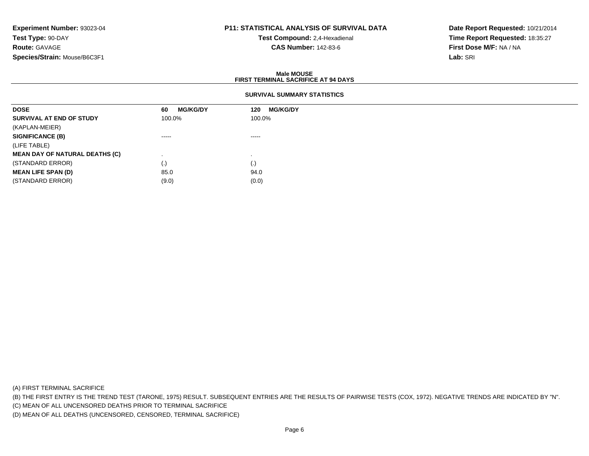# **P11: STATISTICAL ANALYSIS OF SURVIVAL DATA**

**Test Compound:** 2,4-Hexadienal **CAS Number:** 142-83-6

**Date Report Requested:** 10/21/2014**Time Report Requested:** 18:35:27**First Dose M/F:** NA / NA**Lab:** SRI

#### **Male MOUSEFIRST TERMINAL SACRIFICE AT 94 DAYS**

# **SURVIVAL SUMMARY STATISTICS**

| <b>DOSE</b>                           | <b>MG/KG/DY</b><br>60 | <b>MG/KG/DY</b><br>120 |
|---------------------------------------|-----------------------|------------------------|
| SURVIVAL AT END OF STUDY              | 100.0%                | 100.0%                 |
| (KAPLAN-MEIER)                        |                       |                        |
| <b>SIGNIFICANCE (B)</b>               | $\cdots$              | ------                 |
| (LIFE TABLE)                          |                       |                        |
| <b>MEAN DAY OF NATURAL DEATHS (C)</b> |                       |                        |
| (STANDARD ERROR)                      | (.)                   | (.)                    |
| <b>MEAN LIFE SPAN (D)</b>             | 85.0                  | 94.0                   |
| (STANDARD ERROR)                      | (9.0)                 | (0.0)                  |

(A) FIRST TERMINAL SACRIFICE

(B) THE FIRST ENTRY IS THE TREND TEST (TARONE, 1975) RESULT. SUBSEQUENT ENTRIES ARE THE RESULTS OF PAIRWISE TESTS (COX, 1972). NEGATIVE TRENDS ARE INDICATED BY "N".

(C) MEAN OF ALL UNCENSORED DEATHS PRIOR TO TERMINAL SACRIFICE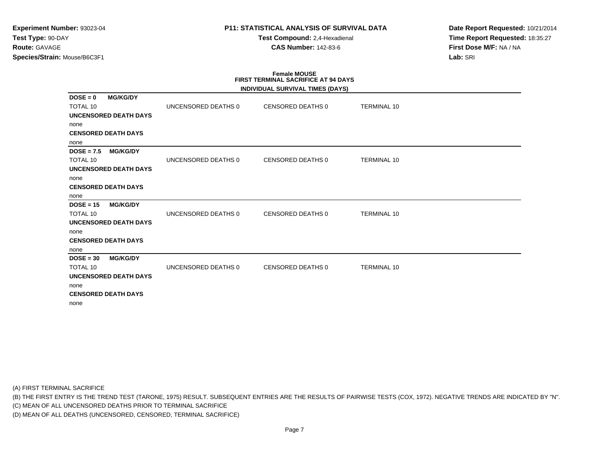**Test Compound:** 2,4-Hexadienal **CAS Number:** 142-83-6

**Date Report Requested:** 10/21/2014**Time Report Requested:** 18:35:27**First Dose M/F:** NA / NA**Lab:** SRI

# **Female MOUSE FIRST TERMINAL SACRIFICE AT 94 DAYS**

|                 |                              |                     | INDIVIDUAL SURVIVAL TIMES (DAYS) |                    |  |
|-----------------|------------------------------|---------------------|----------------------------------|--------------------|--|
| $DOSE = 0$      | <b>MG/KG/DY</b>              |                     |                                  |                    |  |
| <b>TOTAL 10</b> |                              | UNCENSORED DEATHS 0 | CENSORED DEATHS 0                | <b>TERMINAL 10</b> |  |
|                 | <b>UNCENSORED DEATH DAYS</b> |                     |                                  |                    |  |
| none            |                              |                     |                                  |                    |  |
|                 | <b>CENSORED DEATH DAYS</b>   |                     |                                  |                    |  |
| none            |                              |                     |                                  |                    |  |
| $DOSE = 7.5$    | <b>MG/KG/DY</b>              |                     |                                  |                    |  |
| <b>TOTAL 10</b> |                              | UNCENSORED DEATHS 0 | CENSORED DEATHS 0                | <b>TERMINAL 10</b> |  |
|                 | <b>UNCENSORED DEATH DAYS</b> |                     |                                  |                    |  |
| none            |                              |                     |                                  |                    |  |
|                 | <b>CENSORED DEATH DAYS</b>   |                     |                                  |                    |  |
| none            |                              |                     |                                  |                    |  |
| $DOSE = 15$     | <b>MG/KG/DY</b>              |                     |                                  |                    |  |
| <b>TOTAL 10</b> |                              | UNCENSORED DEATHS 0 | <b>CENSORED DEATHS 0</b>         | <b>TERMINAL 10</b> |  |
|                 | <b>UNCENSORED DEATH DAYS</b> |                     |                                  |                    |  |
| none            |                              |                     |                                  |                    |  |
|                 | <b>CENSORED DEATH DAYS</b>   |                     |                                  |                    |  |
| none            |                              |                     |                                  |                    |  |
| $DOSE = 30$     | <b>MG/KG/DY</b>              |                     |                                  |                    |  |
| <b>TOTAL 10</b> |                              | UNCENSORED DEATHS 0 | CENSORED DEATHS 0                | <b>TERMINAL 10</b> |  |
|                 | <b>UNCENSORED DEATH DAYS</b> |                     |                                  |                    |  |
| none            |                              |                     |                                  |                    |  |
|                 | <b>CENSORED DEATH DAYS</b>   |                     |                                  |                    |  |
| none            |                              |                     |                                  |                    |  |

(A) FIRST TERMINAL SACRIFICE

(B) THE FIRST ENTRY IS THE TREND TEST (TARONE, 1975) RESULT. SUBSEQUENT ENTRIES ARE THE RESULTS OF PAIRWISE TESTS (COX, 1972). NEGATIVE TRENDS ARE INDICATED BY "N".

(C) MEAN OF ALL UNCENSORED DEATHS PRIOR TO TERMINAL SACRIFICE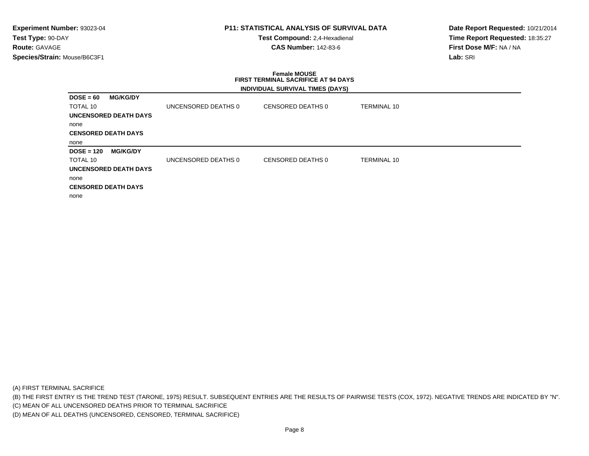# **P11: STATISTICAL ANALYSIS OF SURVIVAL DATA**

**Test Compound:** 2,4-Hexadienal **CAS Number:** 142-83-6

**Date Report Requested:** 10/21/2014**Time Report Requested:** 18:35:27**First Dose M/F:** NA / NA**Lab:** SRI

### **Female MOUSE FIRST TERMINAL SACRIFICE AT 94 DAYSINDIVIDUAL SURVIVAL TIMES (DAYS)**

| $DOSE = 60$  | <b>MG/KG/DY</b>              |                     |                   |                    |
|--------------|------------------------------|---------------------|-------------------|--------------------|
| TOTAL 10     |                              | UNCENSORED DEATHS 0 | CENSORED DEATHS 0 | <b>TERMINAL 10</b> |
|              | UNCENSORED DEATH DAYS        |                     |                   |                    |
| none         |                              |                     |                   |                    |
|              | <b>CENSORED DEATH DAYS</b>   |                     |                   |                    |
| none         |                              |                     |                   |                    |
| $DOSE = 120$ | <b>MG/KG/DY</b>              |                     |                   |                    |
| TOTAL 10     |                              | UNCENSORED DEATHS 0 | CENSORED DEATHS 0 | <b>TERMINAL 10</b> |
|              | <b>UNCENSORED DEATH DAYS</b> |                     |                   |                    |
| none         |                              |                     |                   |                    |
|              | <b>CENSORED DEATH DAYS</b>   |                     |                   |                    |
| none         |                              |                     |                   |                    |

(A) FIRST TERMINAL SACRIFICE

(B) THE FIRST ENTRY IS THE TREND TEST (TARONE, 1975) RESULT. SUBSEQUENT ENTRIES ARE THE RESULTS OF PAIRWISE TESTS (COX, 1972). NEGATIVE TRENDS ARE INDICATED BY "N".

(C) MEAN OF ALL UNCENSORED DEATHS PRIOR TO TERMINAL SACRIFICE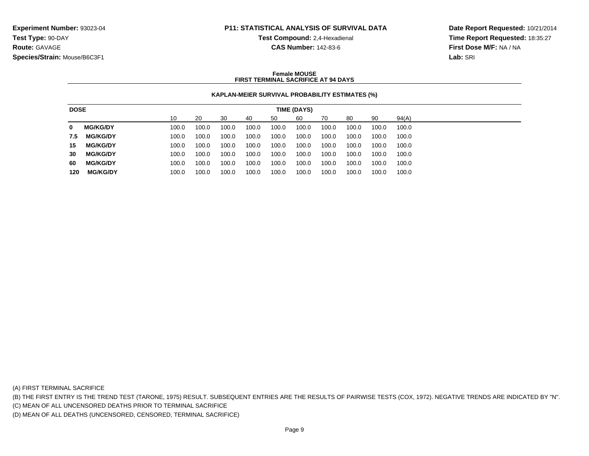**Test Compound:** 2,4-Hexadienal

**CAS Number:** 142-83-6

**Date Report Requested:** 10/21/2014**Time Report Requested:** 18:35:27**First Dose M/F:** NA / NA**Lab:** SRI

### **Female MOUSEFIRST TERMINAL SACRIFICE AT 94 DAYS**

## **KAPLAN-MEIER SURVIVAL PROBABILITY ESTIMATES (%)**

| <b>DOSE</b> |                 |       |       |       |       |       | TIME (DAYS) |       |       |       |       |
|-------------|-----------------|-------|-------|-------|-------|-------|-------------|-------|-------|-------|-------|
|             |                 | 10    | 20    | 30    | 40    | 50    | 60          | 70    | 80    | 90    | 94(A) |
| 0           | <b>MG/KG/DY</b> | 100.0 | 100.0 | 100.0 | 100.0 | 100.0 | 100.0       | 100.0 | 100.0 | 100.0 | 100.0 |
| 7.5         | <b>MG/KG/DY</b> | 100.0 | 100.0 | 100.0 | 100.0 | 100.0 | 100.0       | 100.0 | 100.0 | 100.0 | 100.0 |
| 15          | <b>MG/KG/DY</b> | 100.0 | 100.0 | 100.0 | 100.0 | 100.0 | 100.0       | 100.0 | 100.0 | 100.0 | 100.0 |
| 30          | <b>MG/KG/DY</b> | 100.0 | 100.0 | 100.0 | 100.0 | 100.0 | 100.0       | 100.0 | 100.0 | 100.0 | 100.0 |
| 60          | <b>MG/KG/DY</b> | 100.0 | 100.0 | 100.0 | 100.0 | 100.0 | 100.0       | 100.0 | 100.0 | 100.0 | 100.0 |
| 120         | <b>MG/KG/DY</b> | 100.0 | 100.0 | 100.0 | 100.0 | 100.0 | 100.0       | 100.0 | 100.0 | 100.0 | 100.0 |

(A) FIRST TERMINAL SACRIFICE

(B) THE FIRST ENTRY IS THE TREND TEST (TARONE, 1975) RESULT. SUBSEQUENT ENTRIES ARE THE RESULTS OF PAIRWISE TESTS (COX, 1972). NEGATIVE TRENDS ARE INDICATED BY "N".

(C) MEAN OF ALL UNCENSORED DEATHS PRIOR TO TERMINAL SACRIFICE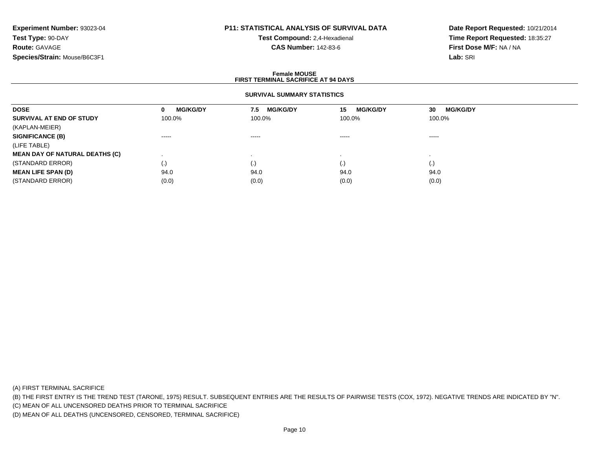# **P11: STATISTICAL ANALYSIS OF SURVIVAL DATA**

**Test Compound:** 2,4-Hexadienal **CAS Number:** 142-83-6

**Date Report Requested:** 10/21/2014**Time Report Requested:** 18:35:27**First Dose M/F:** NA / NA**Lab:** SRI

### **Female MOUSEFIRST TERMINAL SACRIFICE AT 94 DAYS**

## **SURVIVAL SUMMARY STATISTICS**

| <b>DOSE</b>                           | <b>MG/KG/DY</b><br>0 | <b>MG/KG/DY</b><br>7.5 | <b>MG/KG/DY</b><br>15 | <b>MG/KG/DY</b><br>30 |
|---------------------------------------|----------------------|------------------------|-----------------------|-----------------------|
| SURVIVAL AT END OF STUDY              | 100.0%               | 100.0%                 | 100.0%                | 100.0%                |
| (KAPLAN-MEIER)                        |                      |                        |                       |                       |
| <b>SIGNIFICANCE (B)</b>               | $\cdots$             | $\cdots \cdots \cdots$ | $\cdots$              | $\cdots$              |
| (LIFE TABLE)                          |                      |                        |                       |                       |
| <b>MEAN DAY OF NATURAL DEATHS (C)</b> |                      |                        |                       |                       |
| (STANDARD ERROR)                      | $\left(\cdot\right)$ | $\cdot$                | $\cdot$               | (.)                   |
| <b>MEAN LIFE SPAN (D)</b>             | 94.0                 | 94.0                   | 94.0                  | 94.0                  |
| (STANDARD ERROR)                      | (0.0)                | (0.0)                  | (0.0)                 | (0.0)                 |

(A) FIRST TERMINAL SACRIFICE

(B) THE FIRST ENTRY IS THE TREND TEST (TARONE, 1975) RESULT. SUBSEQUENT ENTRIES ARE THE RESULTS OF PAIRWISE TESTS (COX, 1972). NEGATIVE TRENDS ARE INDICATED BY "N".

(C) MEAN OF ALL UNCENSORED DEATHS PRIOR TO TERMINAL SACRIFICE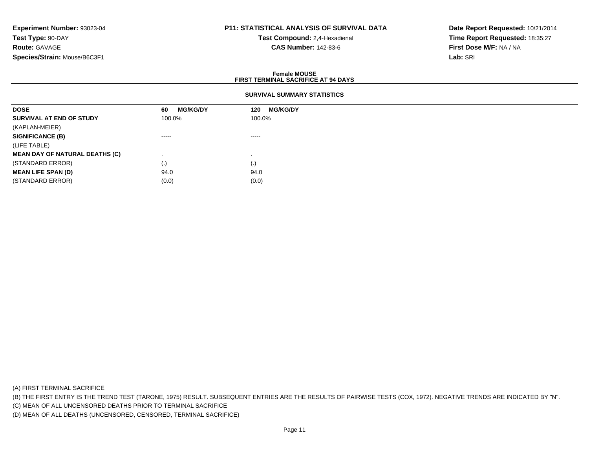# **P11: STATISTICAL ANALYSIS OF SURVIVAL DATA**

**Test Compound:** 2,4-Hexadienal **CAS Number:** 142-83-6

**Date Report Requested:** 10/21/2014**Time Report Requested:** 18:35:27**First Dose M/F:** NA / NA**Lab:** SRI

### **Female MOUSEFIRST TERMINAL SACRIFICE AT 94 DAYS**

# **SURVIVAL SUMMARY STATISTICS**

| <b>DOSE</b>                           | <b>MG/KG/DY</b><br>60                                                                                                                                                                                                                                                                                                                                                                                                                                                                  | <b>MG/KG/DY</b><br>120                                                                                                                                                                                                                                                                                                                                                                                                                                                                 |  |
|---------------------------------------|----------------------------------------------------------------------------------------------------------------------------------------------------------------------------------------------------------------------------------------------------------------------------------------------------------------------------------------------------------------------------------------------------------------------------------------------------------------------------------------|----------------------------------------------------------------------------------------------------------------------------------------------------------------------------------------------------------------------------------------------------------------------------------------------------------------------------------------------------------------------------------------------------------------------------------------------------------------------------------------|--|
| SURVIVAL AT END OF STUDY              | 100.0%                                                                                                                                                                                                                                                                                                                                                                                                                                                                                 | 100.0%                                                                                                                                                                                                                                                                                                                                                                                                                                                                                 |  |
| (KAPLAN-MEIER)                        |                                                                                                                                                                                                                                                                                                                                                                                                                                                                                        |                                                                                                                                                                                                                                                                                                                                                                                                                                                                                        |  |
| <b>SIGNIFICANCE (B)</b>               | $\begin{array}{cccccccccccccc} \multicolumn{2}{c}{} & \multicolumn{2}{c}{} & \multicolumn{2}{c}{} & \multicolumn{2}{c}{} & \multicolumn{2}{c}{} & \multicolumn{2}{c}{} & \multicolumn{2}{c}{} & \multicolumn{2}{c}{} & \multicolumn{2}{c}{} & \multicolumn{2}{c}{} & \multicolumn{2}{c}{} & \multicolumn{2}{c}{} & \multicolumn{2}{c}{} & \multicolumn{2}{c}{} & \multicolumn{2}{c}{} & \multicolumn{2}{c}{} & \multicolumn{2}{c}{} & \multicolumn{2}{c}{} & \multicolumn{2}{c}{} & \$ | $\begin{array}{cccccccccccccc} \multicolumn{2}{c}{} & \multicolumn{2}{c}{} & \multicolumn{2}{c}{} & \multicolumn{2}{c}{} & \multicolumn{2}{c}{} & \multicolumn{2}{c}{} & \multicolumn{2}{c}{} & \multicolumn{2}{c}{} & \multicolumn{2}{c}{} & \multicolumn{2}{c}{} & \multicolumn{2}{c}{} & \multicolumn{2}{c}{} & \multicolumn{2}{c}{} & \multicolumn{2}{c}{} & \multicolumn{2}{c}{} & \multicolumn{2}{c}{} & \multicolumn{2}{c}{} & \multicolumn{2}{c}{} & \multicolumn{2}{c}{} & \$ |  |
| (LIFE TABLE)                          |                                                                                                                                                                                                                                                                                                                                                                                                                                                                                        |                                                                                                                                                                                                                                                                                                                                                                                                                                                                                        |  |
| <b>MEAN DAY OF NATURAL DEATHS (C)</b> |                                                                                                                                                                                                                                                                                                                                                                                                                                                                                        |                                                                                                                                                                                                                                                                                                                                                                                                                                                                                        |  |
| (STANDARD ERROR)                      | (.)                                                                                                                                                                                                                                                                                                                                                                                                                                                                                    | (.)                                                                                                                                                                                                                                                                                                                                                                                                                                                                                    |  |
| <b>MEAN LIFE SPAN (D)</b>             | 94.0                                                                                                                                                                                                                                                                                                                                                                                                                                                                                   | 94.0                                                                                                                                                                                                                                                                                                                                                                                                                                                                                   |  |
| (STANDARD ERROR)                      | (0.0)                                                                                                                                                                                                                                                                                                                                                                                                                                                                                  | (0.0)                                                                                                                                                                                                                                                                                                                                                                                                                                                                                  |  |
|                                       |                                                                                                                                                                                                                                                                                                                                                                                                                                                                                        |                                                                                                                                                                                                                                                                                                                                                                                                                                                                                        |  |

(A) FIRST TERMINAL SACRIFICE

(B) THE FIRST ENTRY IS THE TREND TEST (TARONE, 1975) RESULT. SUBSEQUENT ENTRIES ARE THE RESULTS OF PAIRWISE TESTS (COX, 1972). NEGATIVE TRENDS ARE INDICATED BY "N".

(C) MEAN OF ALL UNCENSORED DEATHS PRIOR TO TERMINAL SACRIFICE